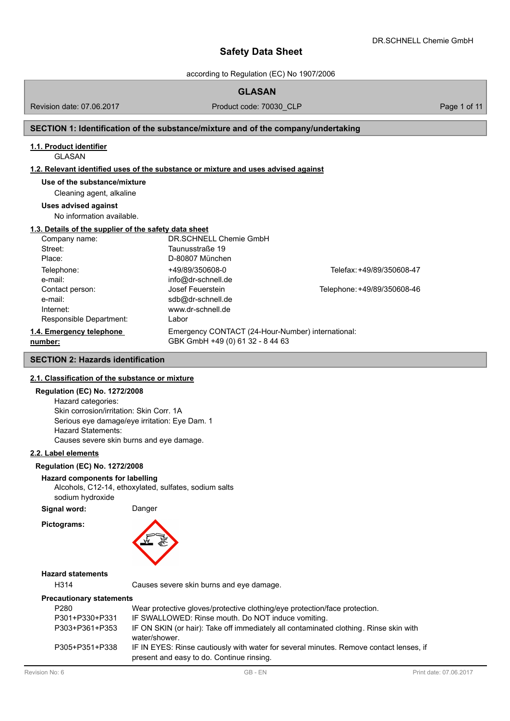according to Regulation (EC) No 1907/2006

# **GLASAN**

Revision date: 07.06.2017

Product code: 70030\_CLP Product code: 70030\_CLP

# **SECTION 1: Identification of the substance/mixture and of the company/undertaking**

# **1.1. Product identifier**

#### GLASAN

## **1.2. Relevant identified uses of the substance or mixture and uses advised against**

**Use of the substance/mixture**

Cleaning agent, alkaline

#### **Uses advised against**

No information available.

#### **1.3. Details of the supplier of the safety data sheet**

| Company name:            | DR.SCHNELL Chemie GmbH                            |                             |
|--------------------------|---------------------------------------------------|-----------------------------|
| Street:                  | Taunusstraße 19                                   |                             |
| Place:                   | D-80807 München                                   |                             |
| Telephone:               | +49/89/350608-0                                   | Telefax: +49/89/350608-47   |
| e-mail:                  | info@dr-schnell.de                                |                             |
| Contact person:          | Josef Feuerstein                                  | Telephone: +49/89/350608-46 |
| e-mail:                  | sdb@dr-schnell.de                                 |                             |
| Internet:                | www.dr-schnell.de                                 |                             |
| Responsible Department:  | Labor                                             |                             |
| 1.4. Emergency telephone | Emergency CONTACT (24-Hour-Number) international: |                             |
| number:                  | GBK GmbH +49 (0) 61 32 - 8 44 63                  |                             |

## **SECTION 2: Hazards identification**

# **2.1. Classification of the substance or mixture**

### **Regulation (EC) No. 1272/2008**

Hazard categories: Skin corrosion/irritation: Skin Corr. 1A Serious eye damage/eye irritation: Eye Dam. 1 Hazard Statements: Causes severe skin burns and eye damage.

#### **2.2. Label elements**

### **Regulation (EC) No. 1272/2008**

#### **Hazard components for labelling**

Alcohols, C12-14, ethoxylated, sulfates, sodium salts sodium hydroxide

**Signal word:** Danger

**Pictograms:**



# **Hazard statements**

H314 Causes severe skin burns and eye damage.

#### **Precautionary statements**

| P <sub>280</sub> | Wear protective gloves/protective clothing/eye protection/face protection.                                                          |
|------------------|-------------------------------------------------------------------------------------------------------------------------------------|
| P301+P330+P331   | IF SWALLOWED: Rinse mouth. Do NOT induce vomiting.                                                                                  |
| P303+P361+P353   | IF ON SKIN (or hair): Take off immediately all contaminated clothing. Rinse skin with<br>water/shower.                              |
| P305+P351+P338   | IF IN EYES: Rinse cautiously with water for several minutes. Remove contact lenses, if<br>present and easy to do. Continue rinsing. |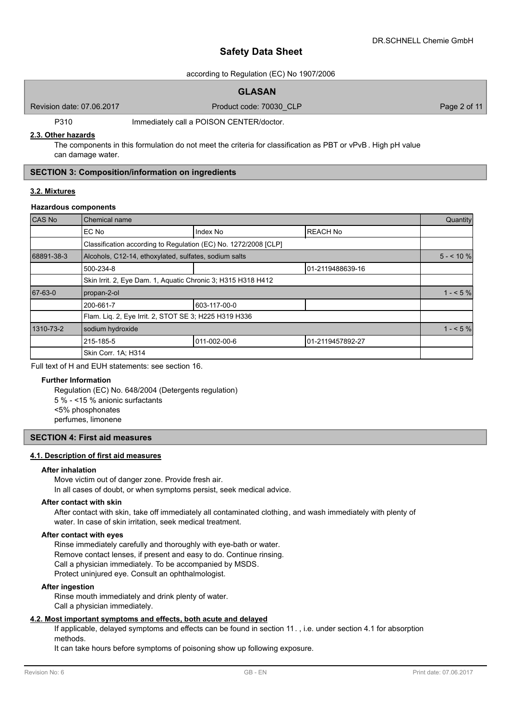Product code: 70030\_CLP Page 2 of 11

# **Safety Data Sheet**

# according to Regulation (EC) No 1907/2006

# **GLASAN**

Revision date: 07.06.2017

P310 Immediately call a POISON CENTER/doctor.

#### **2.3. Other hazards**

The components in this formulation do not meet the criteria for classification as PBT or vPvB. High pH value can damage water.

# **SECTION 3: Composition/information on ingredients**

### **3.2. Mixtures**

## **Hazardous components**

| CAS No     | Chemical name                                                   |              |                  |            |  |  |
|------------|-----------------------------------------------------------------|--------------|------------------|------------|--|--|
|            | EC No                                                           | Index No     | <b>REACH No</b>  |            |  |  |
|            | Classification according to Regulation (EC) No. 1272/2008 [CLP] |              |                  |            |  |  |
| 68891-38-3 | Alcohols, C12-14, ethoxylated, sulfates, sodium salts           |              |                  | $5 - 10\%$ |  |  |
|            | 500-234-8                                                       |              | 01-2119488639-16 |            |  |  |
|            | Skin Irrit. 2, Eye Dam. 1, Aquatic Chronic 3; H315 H318 H412    |              |                  |            |  |  |
| 67-63-0    | propan-2-ol                                                     |              |                  | $1 - 5\%$  |  |  |
|            | 200-661-7                                                       | 603-117-00-0 |                  |            |  |  |
|            | Flam. Liq. 2, Eye Irrit. 2, STOT SE 3; H225 H319 H336           |              |                  |            |  |  |
| 1310-73-2  | sodium hydroxide                                                |              |                  |            |  |  |
|            | 215-185-5                                                       | 011-002-00-6 | 01-2119457892-27 |            |  |  |
|            | Skin Corr. 1A: H314                                             |              |                  |            |  |  |

Full text of H and EUH statements: see section 16.

### **Further Information**

Regulation (EC) No. 648/2004 (Detergents regulation) 5 % - <15 % anionic surfactants <5% phosphonates perfumes, limonene

### **SECTION 4: First aid measures**

### **4.1. Description of first aid measures**

#### **After inhalation**

Move victim out of danger zone. Provide fresh air.

In all cases of doubt, or when symptoms persist, seek medical advice.

### **After contact with skin**

After contact with skin, take off immediately all contaminated clothing, and wash immediately with plenty of water. In case of skin irritation, seek medical treatment.

### **After contact with eyes**

Rinse immediately carefully and thoroughly with eye-bath or water. Remove contact lenses, if present and easy to do. Continue rinsing. Call a physician immediately. To be accompanied by MSDS. Protect uninjured eye. Consult an ophthalmologist.

### **After ingestion**

Rinse mouth immediately and drink plenty of water. Call a physician immediately.

# **4.2. Most important symptoms and effects, both acute and delayed**

If applicable, delayed symptoms and effects can be found in section 11. , i.e. under section 4.1 for absorption methods.

It can take hours before symptoms of poisoning show up following exposure.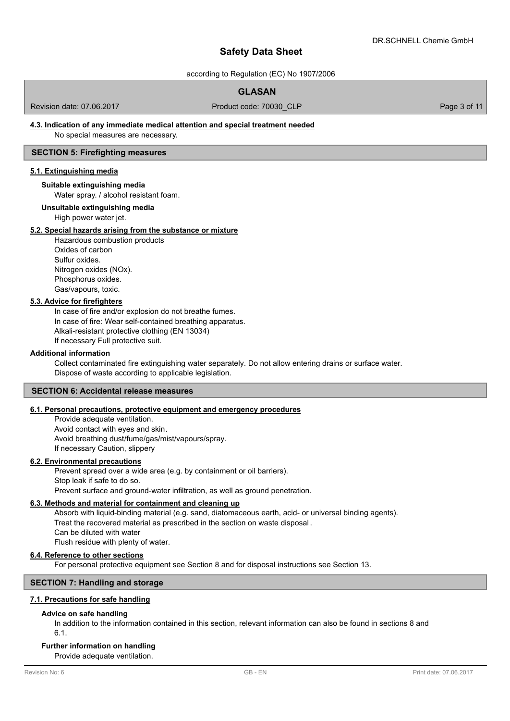according to Regulation (EC) No 1907/2006

# **GLASAN**

Revision date: 07.06.2017

Product code: 70030\_CLP Product code: 70030\_CLP

# **4.3. Indication of any immediate medical attention and special treatment needed**

No special measures are necessary.

# **SECTION 5: Firefighting measures**

# **5.1. Extinguishing media**

#### **Suitable extinguishing media**

Water spray. / alcohol resistant foam.

**Unsuitable extinguishing media**

High power water jet.

### **5.2. Special hazards arising from the substance or mixture**

Hazardous combustion products Oxides of carbon Sulfur oxides. Nitrogen oxides (NOx). Phosphorus oxides. Gas/vapours, toxic.

# **5.3. Advice for firefighters**

In case of fire and/or explosion do not breathe fumes. In case of fire: Wear self-contained breathing apparatus. Alkali-resistant protective clothing (EN 13034) If necessary Full protective suit.

#### **Additional information**

Collect contaminated fire extinguishing water separately. Do not allow entering drains or surface water. Dispose of waste according to applicable legislation.

### **SECTION 6: Accidental release measures**

# **6.1. Personal precautions, protective equipment and emergency procedures**

Provide adequate ventilation. Avoid contact with eyes and skin. Avoid breathing dust/fume/gas/mist/vapours/spray. If necessary Caution, slippery

#### **6.2. Environmental precautions**

Prevent spread over a wide area (e.g. by containment or oil barriers). Stop leak if safe to do so. Prevent surface and ground-water infiltration, as well as ground penetration.

# **6.3. Methods and material for containment and cleaning up**

Absorb with liquid-binding material (e.g. sand, diatomaceous earth, acid- or universal binding agents). Treat the recovered material as prescribed in the section on waste disposal . Can be diluted with water Flush residue with plenty of water.

## **6.4. Reference to other sections**

For personal protective equipment see Section 8 and for disposal instructions see Section 13.

# **SECTION 7: Handling and storage**

### **7.1. Precautions for safe handling**

#### **Advice on safe handling**

In addition to the information contained in this section, relevant information can also be found in sections 8 and 6.1.

# **Further information on handling**

Provide adequate ventilation.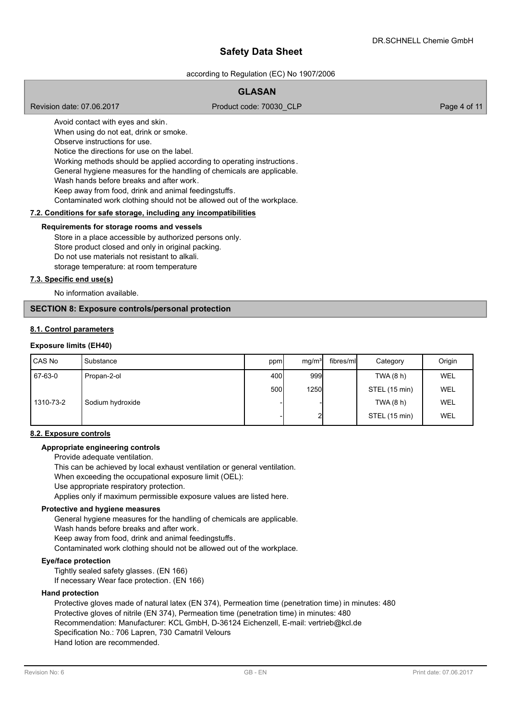according to Regulation (EC) No 1907/2006

# **GLASAN**

Revision date: 07.06.2017

Product code: 70030\_CLP Page 4 of 11

Avoid contact with eyes and skin. When using do not eat, drink or smoke. Observe instructions for use. Notice the directions for use on the label. Working methods should be applied according to operating instructions . General hygiene measures for the handling of chemicals are applicable. Wash hands before breaks and after work. Keep away from food, drink and animal feedingstuffs. Contaminated work clothing should not be allowed out of the workplace.

# **7.2. Conditions for safe storage, including any incompatibilities**

#### **Requirements for storage rooms and vessels**

Store in a place accessible by authorized persons only. Store product closed and only in original packing. Do not use materials not resistant to alkali. storage temperature: at room temperature

#### **7.3. Specific end use(s)**

No information available.

# **SECTION 8: Exposure controls/personal protection**

### **8.1. Control parameters**

#### **Exposure limits (EH40)**

| CAS No    | Substance        | ppm  | mg/m <sup>3</sup> | fibres/mll | Category      | Origin     |
|-----------|------------------|------|-------------------|------------|---------------|------------|
| 67-63-0   | Propan-2-ol      | 400  | 999               |            | TWA (8 h)     | <b>WEL</b> |
|           |                  | 500l | <b>1250</b>       |            | STEL (15 min) | WEL        |
| 1310-73-2 | Sodium hydroxide |      |                   |            | TWA (8 h)     | <b>WEL</b> |
|           |                  |      |                   |            | STEL (15 min) | <b>WEL</b> |

#### **8.2. Exposure controls**

### **Appropriate engineering controls**

Provide adequate ventilation.

This can be achieved by local exhaust ventilation or general ventilation.

When exceeding the occupational exposure limit (OEL):

Use appropriate respiratory protection.

Applies only if maximum permissible exposure values are listed here.

#### **Protective and hygiene measures**

General hygiene measures for the handling of chemicals are applicable. Wash hands before breaks and after work. Keep away from food, drink and animal feedingstuffs. Contaminated work clothing should not be allowed out of the workplace.

#### **Eye/face protection**

Tightly sealed safety glasses. (EN 166) If necessary Wear face protection. (EN 166)

#### **Hand protection**

Protective gloves made of natural latex (EN 374), Permeation time (penetration time) in minutes: 480 Protective gloves of nitrile (EN 374), Permeation time (penetration time) in minutes: 480 Recommendation: Manufacturer: KCL GmbH, D-36124 Eichenzell, E-mail: vertrieb@kcl.de Specification No.: 706 Lapren, 730 Camatril Velours Hand lotion are recommended.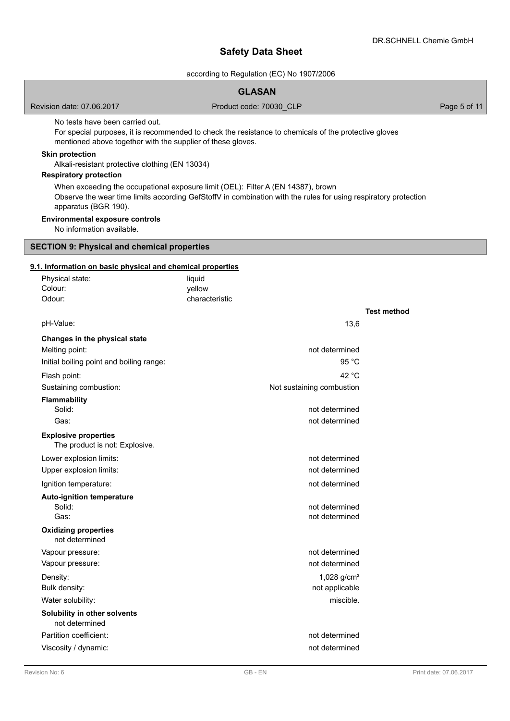according to Regulation (EC) No 1907/2006

# **GLASAN**

Revision date: 07.06.2017

Product code: 70030\_CLP Page 5 of 11

No tests have been carried out.

For special purposes, it is recommended to check the resistance to chemicals of the protective gloves mentioned above together with the supplier of these gloves.

## **Skin protection**

Alkali-resistant protective clothing (EN 13034)

# **Respiratory protection**

When exceeding the occupational exposure limit (OEL): Filter A (EN 14387), brown Observe the wear time limits according GefStoffV in combination with the rules for using respiratory protection apparatus (BGR 190).

### **Environmental exposure controls**

No information available.

# **SECTION 9: Physical and chemical properties**

# **9.1. Information on basic physical and chemical properties**

| Physical state:<br>Colour:<br>Odour:                          | liquid<br>yellow<br>characteristic |                    |
|---------------------------------------------------------------|------------------------------------|--------------------|
|                                                               |                                    | <b>Test method</b> |
| pH-Value:                                                     | 13,6                               |                    |
| Changes in the physical state                                 |                                    |                    |
| Melting point:                                                | not determined                     |                    |
| Initial boiling point and boiling range:                      | 95 °C                              |                    |
| Flash point:                                                  | 42 °C                              |                    |
| Sustaining combustion:                                        | Not sustaining combustion          |                    |
| <b>Flammability</b>                                           |                                    |                    |
| Solid:                                                        | not determined                     |                    |
| Gas:                                                          | not determined                     |                    |
| <b>Explosive properties</b><br>The product is not: Explosive. |                                    |                    |
| Lower explosion limits:                                       | not determined                     |                    |
| Upper explosion limits:                                       | not determined                     |                    |
| Ignition temperature:                                         | not determined                     |                    |
| <b>Auto-ignition temperature</b><br>Solid:                    | not determined                     |                    |
| Gas:                                                          | not determined                     |                    |
| <b>Oxidizing properties</b><br>not determined                 |                                    |                    |
| Vapour pressure:                                              | not determined                     |                    |
| Vapour pressure:                                              | not determined                     |                    |
| Density:                                                      | 1,028 g/cm <sup>3</sup>            |                    |
| Bulk density:                                                 | not applicable<br>miscible.        |                    |
| Water solubility:                                             |                                    |                    |
| Solubility in other solvents<br>not determined                |                                    |                    |
| Partition coefficient:                                        | not determined                     |                    |
| Viscosity / dynamic:                                          | not determined                     |                    |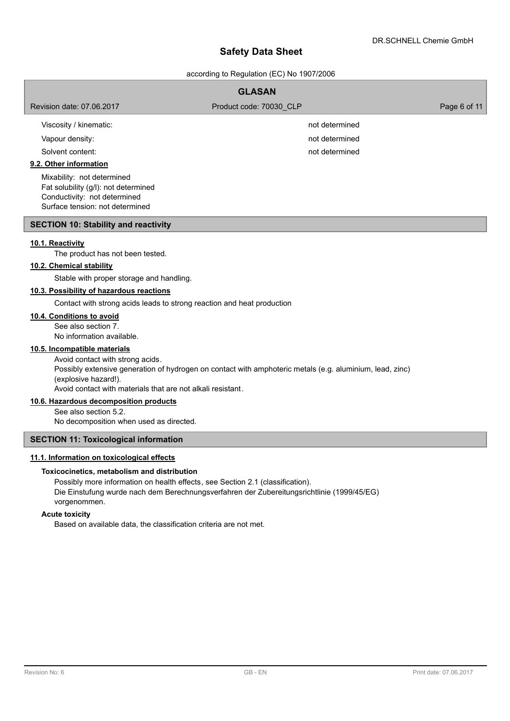according to Regulation (EC) No 1907/2006

| <b>GLASAN</b>                                                                                      |                         |              |  |  |  |
|----------------------------------------------------------------------------------------------------|-------------------------|--------------|--|--|--|
| Revision date: 07.06.2017                                                                          | Product code: 70030 CLP | Page 6 of 11 |  |  |  |
| Viscosity / kinematic:                                                                             | not determined          |              |  |  |  |
| Vapour density:                                                                                    | not determined          |              |  |  |  |
| Solvent content:                                                                                   | not determined          |              |  |  |  |
| 9.2. Other information                                                                             |                         |              |  |  |  |
| Mixability: not determined<br>Fat solubility (g/l): not determined<br>Conductivity: not determined |                         |              |  |  |  |

## **SECTION 10: Stability and reactivity**

Surface tension: not determined

## **10.1. Reactivity**

The product has not been tested.

# **10.2. Chemical stability**

Stable with proper storage and handling.

# **10.3. Possibility of hazardous reactions**

Contact with strong acids leads to strong reaction and heat production

# **10.4. Conditions to avoid**

See also section 7. No information available.

#### **10.5. Incompatible materials**

Avoid contact with strong acids. Possibly extensive generation of hydrogen on contact with amphoteric metals (e.g. aluminium, lead, zinc) (explosive hazard!). Avoid contact with materials that are not alkali resistant.

## **10.6. Hazardous decomposition products**

See also section 5.2.

No decomposition when used as directed.

### **SECTION 11: Toxicological information**

# **11.1. Information on toxicological effects**

#### **Toxicocinetics, metabolism and distribution**

Possibly more information on health effects, see Section 2.1 (classification). Die Einstufung wurde nach dem Berechnungsverfahren der Zubereitungsrichtlinie (1999/45/EG) vorgenommen.

# **Acute toxicity**

Based on available data, the classification criteria are not met.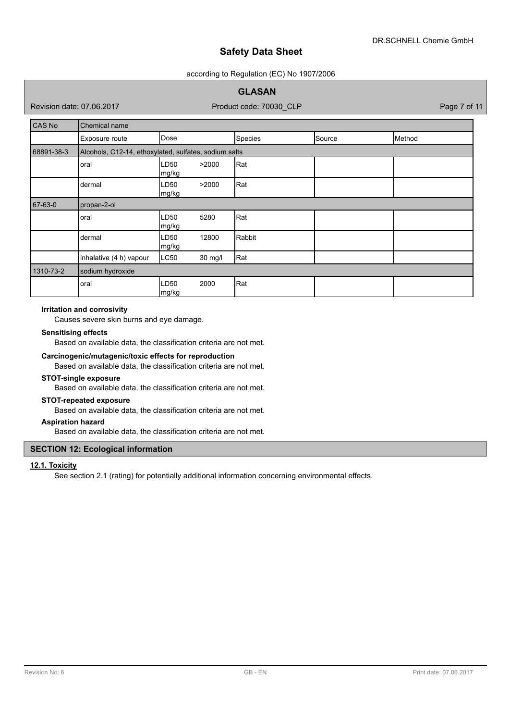### according to Regulation (EC) No 1907/2006

# **GLASAN**

Revision date: 07.06.2017

Product code: 70030\_CLP Page 7 of 11

| CAS No     | Chemical name                                         |               |         |         |        |        |  |
|------------|-------------------------------------------------------|---------------|---------|---------|--------|--------|--|
|            | Exposure route                                        | Dose          |         | Species | Source | Method |  |
| 68891-38-3 | Alcohols, C12-14, ethoxylated, sulfates, sodium salts |               |         |         |        |        |  |
|            | oral                                                  | LD50<br>mg/kg | >2000   | Rat     |        |        |  |
|            | dermal                                                | LD50<br>mg/kg | >2000   | Rat     |        |        |  |
| 67-63-0    | propan-2-ol                                           |               |         |         |        |        |  |
|            | oral                                                  | LD50<br>mg/kg | 5280    | Rat     |        |        |  |
|            | dermal                                                | LD50<br>mg/kg | 12800   | Rabbit  |        |        |  |
|            | inhalative (4 h) vapour                               | LC50          | 30 mg/l | Rat     |        |        |  |
| 1310-73-2  | sodium hydroxide                                      |               |         |         |        |        |  |
|            | oral                                                  | LD50<br>mg/kg | 2000    | Rat     |        |        |  |

## **Irritation and corrosivity**

Causes severe skin burns and eye damage.

#### **Sensitising effects**

Based on available data, the classification criteria are not met.

### **Carcinogenic/mutagenic/toxic effects for reproduction**

Based on available data, the classification criteria are not met.

### **STOT-single exposure**

Based on available data, the classification criteria are not met.

### **STOT-repeated exposure**

Based on available data, the classification criteria are not met.

### **Aspiration hazard**

Based on available data, the classification criteria are not met.

# **SECTION 12: Ecological information**

# **12.1. Toxicity**

See section 2.1 (rating) for potentially additional information concerning environmental effects.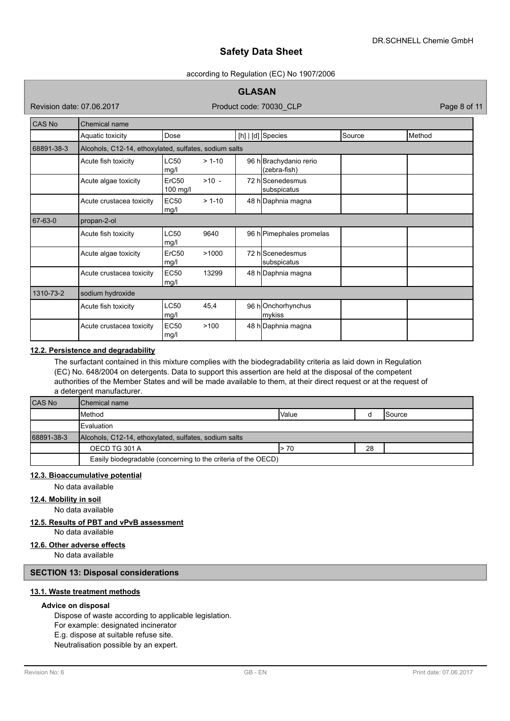#### according to Regulation (EC) No 1907/2006

# **GLASAN**

Revision date: 07.06.2017

Product code: 70030\_CLP Page 8 of 11

| CAS No     | Chemical name                                         |                     |          |  |                                        |        |        |
|------------|-------------------------------------------------------|---------------------|----------|--|----------------------------------------|--------|--------|
|            | Aquatic toxicity                                      | Dose                |          |  | $[h]   [d]$ Species                    | Source | Method |
| 68891-38-3 | Alcohols, C12-14, ethoxylated, sulfates, sodium salts |                     |          |  |                                        |        |        |
|            | Acute fish toxicity                                   | <b>LC50</b><br>mg/l | $> 1-10$ |  | 96 h Brachydanio rerio<br>(zebra-fish) |        |        |
|            | Acute algae toxicity                                  | ErC50<br>100 mg/l   | $>10 -$  |  | 72 hlScenedesmus<br>subspicatus        |        |        |
|            | Acute crustacea toxicity                              | <b>EC50</b><br>mg/l | $> 1-10$ |  | 48 h Daphnia magna                     |        |        |
| 67-63-0    | propan-2-ol                                           |                     |          |  |                                        |        |        |
|            | Acute fish toxicity                                   | <b>LC50</b><br>mg/l | 9640     |  | 96 h Pimephales promelas               |        |        |
|            | Acute algae toxicity                                  | ErC50<br>mg/l       | >1000    |  | 72 hlScenedesmus<br>subspicatus        |        |        |
|            | Acute crustacea toxicity                              | <b>EC50</b><br>mg/l | 13299    |  | 48 h Daphnia magna                     |        |        |
| 1310-73-2  | sodium hydroxide                                      |                     |          |  |                                        |        |        |
|            | Acute fish toxicity                                   | LC50<br>mg/l        | 45,4     |  | 96 hOnchorhynchus<br>mykiss            |        |        |
|            | Acute crustacea toxicity                              | <b>EC50</b><br>mg/l | >100     |  | 48 h Daphnia magna                     |        |        |

# **12.2. Persistence and degradability**

The surfactant contained in this mixture complies with the biodegradability criteria as laid down in Regulation (EC) No. 648/2004 on detergents. Data to support this assertion are held at the disposal of the competent authorities of the Member States and will be made available to them, at their direct request or at the request of a detergent manufacturer.

| <b>CAS No</b> | Chemical name                                                 |              |  |                 |  |
|---------------|---------------------------------------------------------------|--------------|--|-----------------|--|
|               | <b>I</b> Method                                               | <b>Value</b> |  | <b>I</b> Source |  |
|               | Evaluation                                                    |              |  |                 |  |
| 68891-38-3    | Alcohols, C12-14, ethoxylated, sulfates, sodium salts         |              |  |                 |  |
|               | 28<br>OECD TG 301 A<br>> 70                                   |              |  |                 |  |
|               | Easily biodegradable (concerning to the criteria of the OECD) |              |  |                 |  |

### **12.3. Bioaccumulative potential**

No data available

# **12.4. Mobility in soil**

No data available

# **12.5. Results of PBT and vPvB assessment**

No data available

# **12.6. Other adverse effects**

No data available

# **SECTION 13: Disposal considerations**

# **13.1. Waste treatment methods**

### **Advice on disposal**

Dispose of waste according to applicable legislation. For example: designated incinerator E.g. dispose at suitable refuse site. Neutralisation possible by an expert.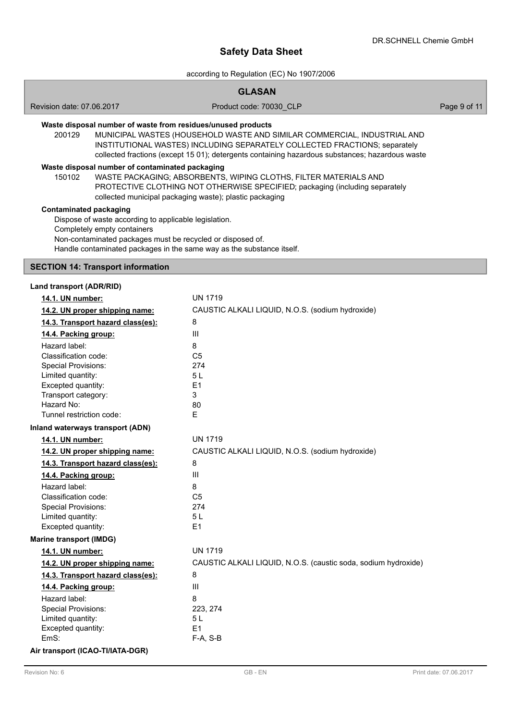according to Regulation (EC) No 1907/2006

# **GLASAN**

Revision date: 07.06.2017

Product code: 70030\_CLP Page 9 of 11

# **Waste disposal number of waste from residues/unused products**

200129 MUNICIPAL WASTES (HOUSEHOLD WASTE AND SIMILAR COMMERCIAL, INDUSTRIAL AND INSTITUTIONAL WASTES) INCLUDING SEPARATELY COLLECTED FRACTIONS; separately collected fractions (except 15 01); detergents containing hazardous substances; hazardous waste

### **Waste disposal number of contaminated packaging**

WASTE PACKAGING; ABSORBENTS, WIPING CLOTHS, FILTER MATERIALS AND PROTECTIVE CLOTHING NOT OTHERWISE SPECIFIED; packaging (including separately collected municipal packaging waste); plastic packaging 150102

### **Contaminated packaging**

Dispose of waste according to applicable legislation. Completely empty containers Non-contaminated packages must be recycled or disposed of. Handle contaminated packages in the same way as the substance itself.

# **SECTION 14: Transport information**

#### **Land transport (ADR/RID)**

| 14.1. UN number:                  | <b>UN 1719</b>                                                 |
|-----------------------------------|----------------------------------------------------------------|
| 14.2. UN proper shipping name:    | CAUSTIC ALKALI LIQUID, N.O.S. (sodium hydroxide)               |
| 14.3. Transport hazard class(es): | 8                                                              |
| 14.4. Packing group:              | III                                                            |
| Hazard label:                     | 8                                                              |
| Classification code:              | C <sub>5</sub>                                                 |
| <b>Special Provisions:</b>        | 274                                                            |
| Limited quantity:                 | 5 <sub>L</sub>                                                 |
| Excepted quantity:                | E1                                                             |
| Transport category:               | 3                                                              |
| Hazard No:                        | 80                                                             |
| Tunnel restriction code:          | F.                                                             |
| Inland waterways transport (ADN)  |                                                                |
| 14.1. UN number:                  | <b>UN 1719</b>                                                 |
| 14.2. UN proper shipping name:    | CAUSTIC ALKALI LIQUID, N.O.S. (sodium hydroxide)               |
| 14.3. Transport hazard class(es): | 8                                                              |
| 14.4. Packing group:              | III                                                            |
| Hazard label:                     | 8                                                              |
| Classification code:              | C <sub>5</sub>                                                 |
| <b>Special Provisions:</b>        | 274                                                            |
| Limited quantity:                 | 5 <sub>L</sub>                                                 |
| Excepted quantity:                | E1                                                             |
| <b>Marine transport (IMDG)</b>    |                                                                |
| 14.1. UN number:                  | <b>UN 1719</b>                                                 |
| 14.2. UN proper shipping name:    | CAUSTIC ALKALI LIQUID, N.O.S. (caustic soda, sodium hydroxide) |
| 14.3. Transport hazard class(es): | 8                                                              |
| 14.4. Packing group:              | III                                                            |
| Hazard label:                     | 8                                                              |
| <b>Special Provisions:</b>        | 223, 274                                                       |
| Limited quantity:                 | 5L                                                             |
| Excepted quantity:                | E1                                                             |
| EmS:                              | $F-A, S-B$                                                     |
| Air transport (ICAO-TI/IATA-DGR)  |                                                                |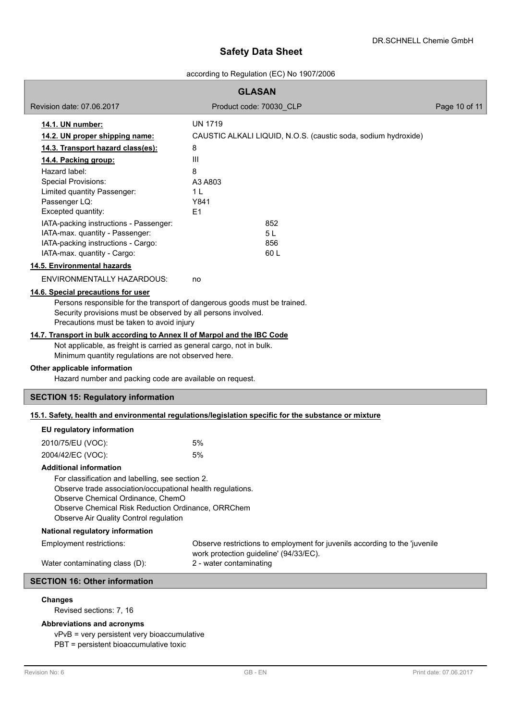# according to Regulation (EC) No 1907/2006

| <b>GLASAN</b>                                                                                                                                                                                                                                       |                                                                                                                      |               |  |  |  |
|-----------------------------------------------------------------------------------------------------------------------------------------------------------------------------------------------------------------------------------------------------|----------------------------------------------------------------------------------------------------------------------|---------------|--|--|--|
| Revision date: 07.06.2017                                                                                                                                                                                                                           | Product code: 70030 CLP                                                                                              | Page 10 of 11 |  |  |  |
| 14.1. UN number:                                                                                                                                                                                                                                    | <b>UN 1719</b>                                                                                                       |               |  |  |  |
| 14.2. UN proper shipping name:                                                                                                                                                                                                                      | CAUSTIC ALKALI LIQUID, N.O.S. (caustic soda, sodium hydroxide)                                                       |               |  |  |  |
| 14.3. Transport hazard class(es):                                                                                                                                                                                                                   | 8                                                                                                                    |               |  |  |  |
| 14.4. Packing group:                                                                                                                                                                                                                                | Ш                                                                                                                    |               |  |  |  |
| Hazard label:                                                                                                                                                                                                                                       | 8                                                                                                                    |               |  |  |  |
| <b>Special Provisions:</b>                                                                                                                                                                                                                          | A3 A803                                                                                                              |               |  |  |  |
| Limited quantity Passenger:<br>Passenger LQ:                                                                                                                                                                                                        | 1 <sub>L</sub><br>Y841                                                                                               |               |  |  |  |
| Excepted quantity:                                                                                                                                                                                                                                  | E <sub>1</sub>                                                                                                       |               |  |  |  |
| IATA-packing instructions - Passenger:                                                                                                                                                                                                              | 852                                                                                                                  |               |  |  |  |
| IATA-max. quantity - Passenger:                                                                                                                                                                                                                     | 5 L                                                                                                                  |               |  |  |  |
| IATA-packing instructions - Cargo:                                                                                                                                                                                                                  | 856                                                                                                                  |               |  |  |  |
| IATA-max. quantity - Cargo:                                                                                                                                                                                                                         | 60L                                                                                                                  |               |  |  |  |
| 14.5. Environmental hazards                                                                                                                                                                                                                         |                                                                                                                      |               |  |  |  |
| ENVIRONMENTALLY HAZARDOUS:                                                                                                                                                                                                                          | no                                                                                                                   |               |  |  |  |
| 14.6. Special precautions for user                                                                                                                                                                                                                  |                                                                                                                      |               |  |  |  |
| Persons responsible for the transport of dangerous goods must be trained.<br>Security provisions must be observed by all persons involved.<br>Precautions must be taken to avoid injury                                                             |                                                                                                                      |               |  |  |  |
| 14.7. Transport in bulk according to Annex II of Marpol and the IBC Code<br>Not applicable, as freight is carried as general cargo, not in bulk.<br>Minimum quantity regulations are not observed here.                                             |                                                                                                                      |               |  |  |  |
| Other applicable information<br>Hazard number and packing code are available on request.                                                                                                                                                            |                                                                                                                      |               |  |  |  |
| <b>SECTION 15: Regulatory information</b>                                                                                                                                                                                                           |                                                                                                                      |               |  |  |  |
|                                                                                                                                                                                                                                                     | 15.1. Safety, health and environmental regulations/legislation specific for the substance or mixture                 |               |  |  |  |
| EU regulatory information                                                                                                                                                                                                                           |                                                                                                                      |               |  |  |  |
| 2010/75/EU (VOC):                                                                                                                                                                                                                                   | 5%                                                                                                                   |               |  |  |  |
| 2004/42/EC (VOC):                                                                                                                                                                                                                                   | 5%                                                                                                                   |               |  |  |  |
| <b>Additional information</b>                                                                                                                                                                                                                       |                                                                                                                      |               |  |  |  |
| For classification and labelling, see section 2.<br>Observe trade association/occupational health regulations.<br>Observe Chemical Ordinance, ChemO<br>Observe Chemical Risk Reduction Ordinance, ORRChem<br>Observe Air Quality Control regulation |                                                                                                                      |               |  |  |  |
| <b>National regulatory information</b>                                                                                                                                                                                                              |                                                                                                                      |               |  |  |  |
| Employment restrictions:                                                                                                                                                                                                                            | Observe restrictions to employment for juvenils according to the 'juvenile<br>work protection guideline' (94/33/EC). |               |  |  |  |
| Water contaminating class (D):                                                                                                                                                                                                                      | 2 - water contaminating                                                                                              |               |  |  |  |
| <b>SECTION 16: Other information</b>                                                                                                                                                                                                                |                                                                                                                      |               |  |  |  |
| <b>Changes</b>                                                                                                                                                                                                                                      |                                                                                                                      |               |  |  |  |

Revised sections: 7, 16

# **Abbreviations and acronyms**

vPvB = very persistent very bioaccumulative PBT = persistent bioaccumulative toxic